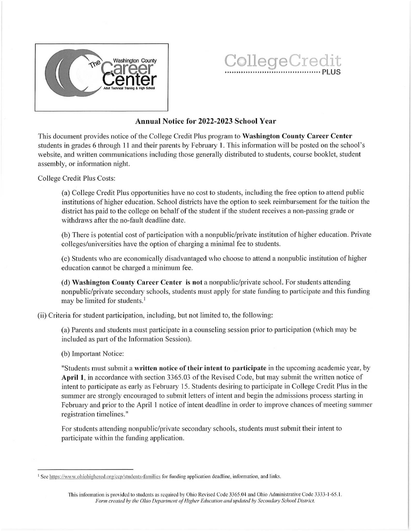

## The Career County College Credit

## Annual Notice for 2022-2023 School Year

This document provides notice of the College Credit Plus program to Washington County Career Center students in grades 6 through 11 and their parents by February 1. This information will be posted on the school's website, and written communications including those generally distributed to students, course booklet, student assembly, or information night.

College Credit Plus Costs:

(a) College Credit Plus opportunities have no cost to students, including the free option to attend public institutions of higher education. School districts have the option to seek reimbursement for the tuition the district has paid to the college on behalf of the student if the student receives <sup>a</sup> non-passing grade or withdraws after the no-fault deadline date.

(b) There is potential cost of participation with a nonpublic/private institution of higher education. Private colleges/universities have the option of charging a minimal fee to students.

(c) Students who are economically disadvantaged who choose to attend a nonpublic institution of higher education cannot be charged a minimum fee.

(d) Washington County Career Center is not a nonpublic/private school. For students attending nonpublic/private secondary schools, students must apply for state funding to participate and this funding may be limited for students.<sup>1</sup>

(ii) Criteria for student participation, including, but not limited to, the following:

(a) Parents and students must participate in a counseling session prior to participation (which may be includedas part of the Information Session).

(b) Important Notice:

"Students must submit a written notice of their intent to participate in the upcoming academic year, by April 1, in accordance with section 3365.03 of the Revised Code, but may submit the written notice of intent to participate as early as February 15. Students desiring to participate in College Credit Plus in the summer are strongly encouraged to submit letters of intent and begin the admissions process starting in February and prior to the April 1 notice of intent deadline in order to improve chances of meeting summer registration timelines."

For students attending nonpublic/private secondaryschools, students must submit their intent to participate within the funding application.

<sup>&#</sup>x27; See https://www.ohiohighered.org/ccp/students-families for funding application deadline, information, and links.

This information is provided to students as required by Ohio Revised Code 3365.04 and Ohio Administrative Code 3333-1-65.1. Form created by the Ohio Department of Higher Education and updated by Secondary School District.